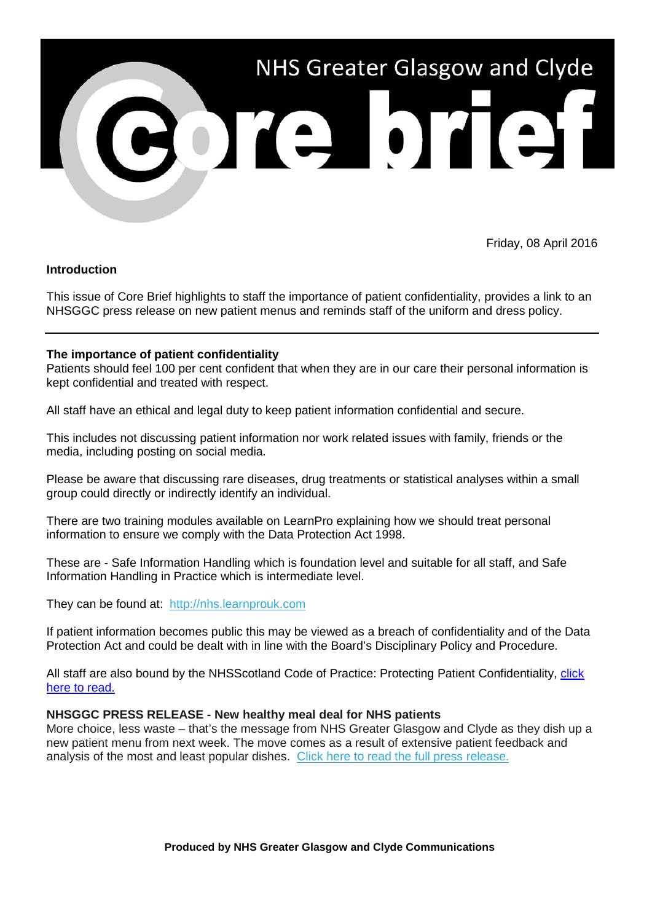

Friday, 08 April 2016

## **Introduction**

This issue of Core Brief highlights to staff the importance of patient confidentiality, provides a link to an NHSGGC press release on new patient menus and reminds staff of the uniform and dress policy.

## **The importance of patient confidentiality**

Patients should feel 100 per cent confident that when they are in our care their personal information is kept confidential and treated with respect.

All staff have an ethical and legal duty to keep patient information confidential and secure.

This includes not discussing patient information nor work related issues with family, friends or the media, including posting on social media.

Please be aware that discussing rare diseases, drug treatments or statistical analyses within a small group could directly or indirectly identify an individual.

There are two training modules available on LearnPro explaining how we should treat personal information to ensure we comply with the Data Protection Act 1998.

These are - Safe Information Handling which is foundation level and suitable for all staff, and Safe Information Handling in Practice which is intermediate level.

They can be found at: [http://nhs.learnprouk.com](http://nhsggc.us12.list-manage2.com/track/click?u=0f385b5aea37eaf0213bd19fb&id=9dbb598a5f&e=5af5e1832c)

If patient information becomes public this may be viewed as a breach of confidentiality and of the Data Protection Act and could be dealt with in line with the Board's Disciplinary Policy and Procedure.

All staff are also bound by the NHSScotland Code of Practice: Protecting Patient Confidentiality, [click](http://elearning.scot.nhs.uk:8080/intralibrary/open_virtual_file_path/i123n1168626t/6074NHSCode.pdf)  [here to read.](http://elearning.scot.nhs.uk:8080/intralibrary/open_virtual_file_path/i123n1168626t/6074NHSCode.pdf)

## **NHSGGC PRESS RELEASE - New healthy meal deal for NHS patients**

More choice, less waste – that's the message from NHS Greater Glasgow and Clyde as they dish up a new patient menu from next week. The move comes as a result of extensive patient feedback and analysis of the most and least popular dishes. [Click here to read the full press release.](http://nhsggc.us12.list-manage1.com/track/click?u=0f385b5aea37eaf0213bd19fb&id=24cdf7d24b&e=5af5e1832c)

**Produced by NHS Greater Glasgow and Clyde Communications**